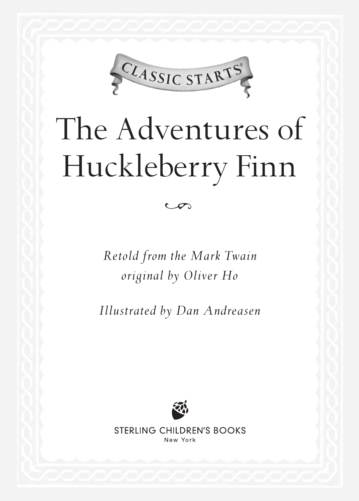

## The Adventures of Huckleberry Finn

*Retold from the Mark Twain original by Oliver Ho*

 $\infty$ 

*Illustrated by Dan Andreasen*



STERLING CHILDREN'S BOOKS New York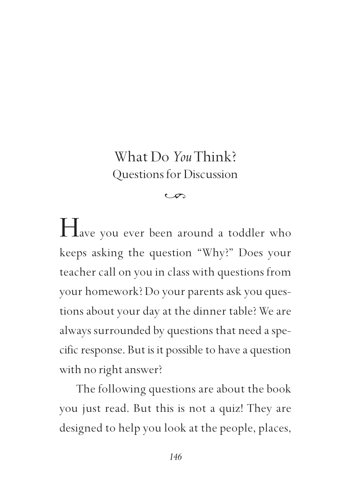## What Do *You* Think? Questions for Discussion

## $\sigma$

Have you ever been around a toddler who keeps asking the question "Why?" Does your teacher call on you in class with questions from your homework? Do your parents ask you questions about your day at the dinner table? We are always surrounded by questions that need a specific response. But is it possible to have a question with no right answer?

The following questions are about the book you just read. But this is not a quiz! They are designed to help you look at the people, places,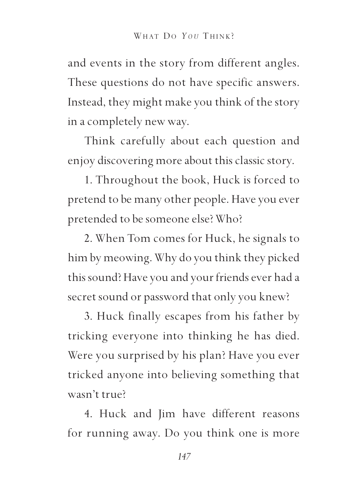and events in the story from different angles. These questions do not have specific answers. Instead, they might make you think of the story in a completely new way.

Think carefully about each question and enjoy discovering more about this classic story.

1. Throughout the book, Huck is forced to pretend to be many other people. Have you ever pretended to be someone else? Who?

2. When Tom comes for Huck, he signals to him by meowing. Why do you think they picked this sound? Have you and your friends ever had a secret sound or password that only you knew?

3. Huck finally escapes from his father by tricking everyone into thinking he has died. Were you surprised by his plan? Have you ever tricked anyone into believing something that wasn't true?

4. Huck and Jim have different reasons for running away. Do you think one is more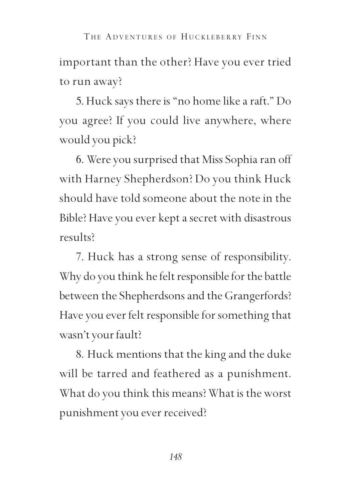important than the other? Have you ever tried to run away? THE ADVENTURES OF HUCKLEBERRY FINN

5. Huck says there is "no home like a raft." Do you agree? If you could live anywhere, where would you pick?

6. Were you surprised that Miss Sophia ran off with Harney Shepherdson? Do you think Huck should have told someone about the note in the Bible? Have you ever kept a secret with disastrous results?

7. Huck has a strong sense of responsibility. Why do you think he felt responsible for the battle between the Shepherdsons and the Grangerfords? Have you ever felt responsible for something that wasn't your fault?

8. Huck mentions that the king and the duke will be tarred and feathered as a punishment. What do you think this means? What is the worst punishment you ever received?